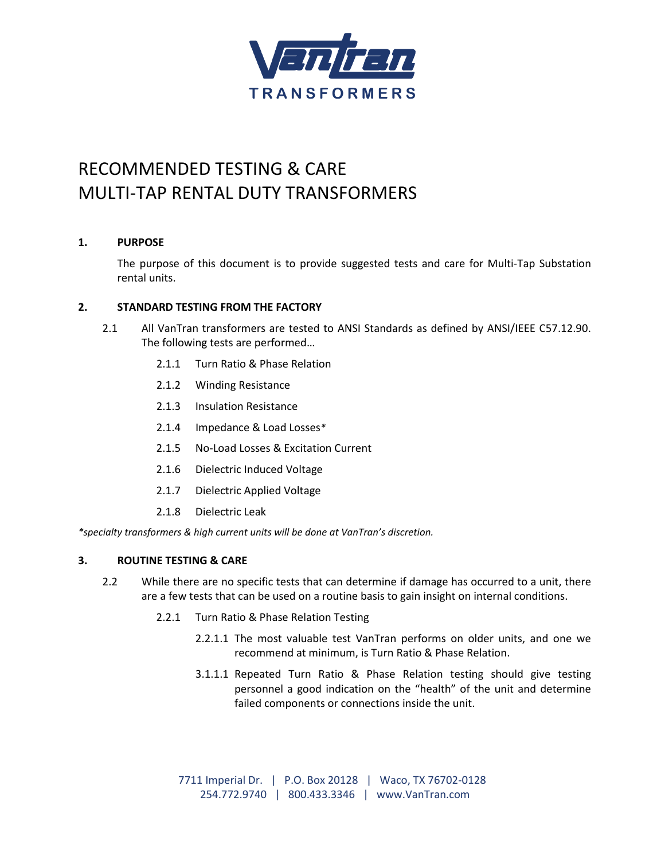

# RECOMMENDED TESTING & CARE MULTI-TAP RENTAL DUTY TRANSFORMERS

## **1. PURPOSE**

The purpose of this document is to provide suggested tests and care for Multi-Tap Substation rental units.

## **2. STANDARD TESTING FROM THE FACTORY**

- 2.1 All VanTran transformers are tested to ANSI Standards as defined by ANSI/IEEE C57.12.90. The following tests are performed…
	- 2.1.1 Turn Ratio & Phase Relation
	- 2.1.2 Winding Resistance
	- 2.1.3 Insulation Resistance
	- 2.1.4 Impedance & Load Losses*\**
	- 2.1.5 No-Load Losses & Excitation Current
	- 2.1.6 Dielectric Induced Voltage
	- 2.1.7 Dielectric Applied Voltage
	- 2.1.8 Dielectric Leak

*\*specialty transformers & high current units will be done at VanTran's discretion.*

#### **3. ROUTINE TESTING & CARE**

- 2.2 While there are no specific tests that can determine if damage has occurred to a unit, there are a few tests that can be used on a routine basis to gain insight on internal conditions.
	- 2.2.1 Turn Ratio & Phase Relation Testing
		- 2.2.1.1 The most valuable test VanTran performs on older units, and one we recommend at minimum, is Turn Ratio & Phase Relation.
		- 3.1.1.1 Repeated Turn Ratio & Phase Relation testing should give testing personnel a good indication on the "health" of the unit and determine failed components or connections inside the unit.